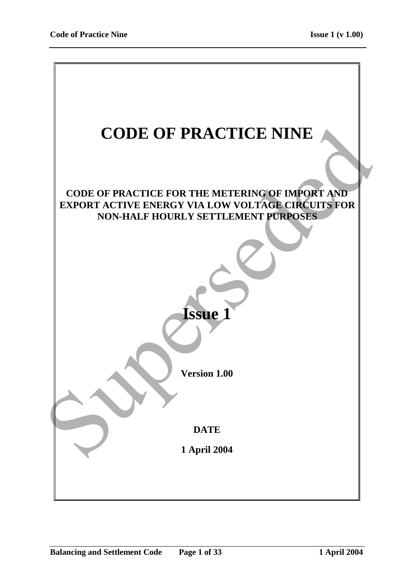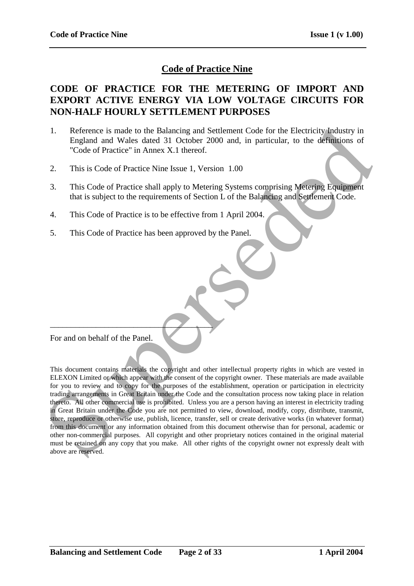# **Code of Practice Nine**

# **CODE OF PRACTICE FOR THE METERING OF IMPORT AND EXPORT ACTIVE ENERGY VIA LOW VOLTAGE CIRCUITS FOR NON-HALF HOURLY SETTLEMENT PURPOSES**

- 1. Reference is made to the Balancing and Settlement Code for the Electricity Industry in England and Wales dated 31 October 2000 and, in particular, to the definitions of "Code of Practice" in Annex X.1 thereof.
- 2. This is Code of Practice Nine Issue 1, Version 1.00
- 3. This Code of Practice shall apply to Metering Systems comprising Metering Equipment that is subject to the requirements of Section L of the Balancing and Settlement Code.
- 4. This Code of Practice is to be effective from 1 April 2004.
- 5. This Code of Practice has been approved by the Panel.

For and on behalf of the Panel.

 $\overline{\phantom{a}}$ 

This document contains materials the copyright and other intellectual property rights in which are vested in ELEXON Limited or which appear with the consent of the copyright owner. These materials are made available for you to review and to copy for the purposes of the establishment, operation or participation in electricity trading arrangements in Great Britain under the Code and the consultation process now taking place in relation thereto. All other commercial use is prohibited. Unless you are a person having an interest in electricity trading in Great Britain under the Code you are not permitted to view, download, modify, copy, distribute, transmit, store, reproduce or otherwise use, publish, licence, transfer, sell or create derivative works (in whatever format) from this document or any information obtained from this document otherwise than for personal, academic or other non-commercial purposes. All copyright and other proprietary notices contained in the original material must be retained on any copy that you make. All other rights of the copyright owner not expressly dealt with above are reserved. 1. Reference is made to the Balancing and Settlement Code for the Electricity-Industry in England and Walse dated 31 October 2000 und, in particular, to the definitions of<br>
Code of Practice in Amax X.1 thereof.<br>
2. This is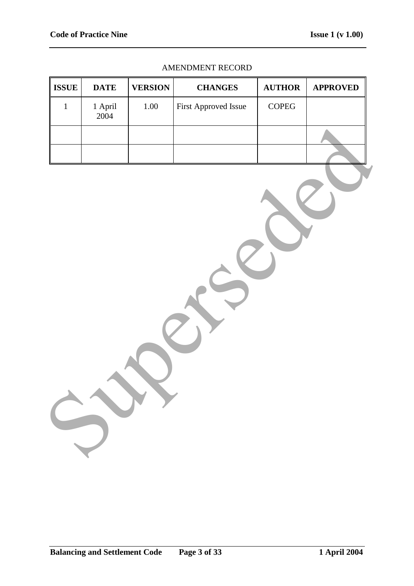#### AMENDMENT RECORD

| <b>ISSUE</b> | <b>DATE</b>            | <b>VERSION</b> | <b>CHANGES</b>       | <b>AUTHOR</b>             | <b>APPROVED</b> |
|--------------|------------------------|----------------|----------------------|---------------------------|-----------------|
| $\mathbf 1$  | $1$ April $\,$<br>2004 | $1.00\,$       | First Approved Issue | $\mathop{\mathrm{COPEG}}$ |                 |
|              |                        |                |                      |                           |                 |
|              |                        |                |                      |                           |                 |
|              |                        |                |                      |                           |                 |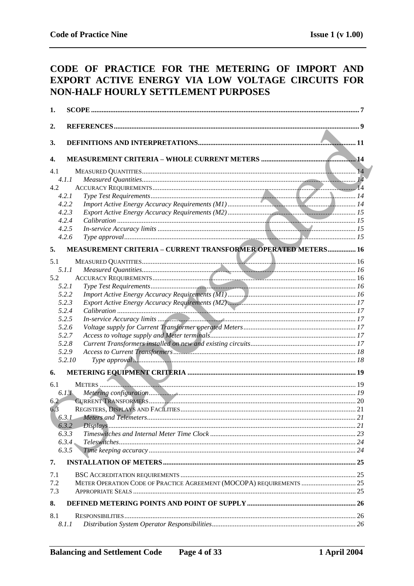# CODE OF PRACTICE FOR THE METERING OF IMPORT AND EXPORT ACTIVE ENERGY VIA LOW VOLTAGE CIRCUITS FOR NON-HALF HOURLY SETTLEMENT PURPOSES

| 1.  |                                                                      |    |
|-----|----------------------------------------------------------------------|----|
| 2.  |                                                                      |    |
|     |                                                                      |    |
| 3.  |                                                                      |    |
| 4.  |                                                                      |    |
| 4.1 |                                                                      |    |
|     | 4.1.1                                                                |    |
| 4.2 |                                                                      |    |
|     | 4.2.1                                                                |    |
|     | 4.2.2                                                                |    |
|     | 4.2.3                                                                |    |
|     | 4.2.4                                                                |    |
|     | 4.2.5                                                                |    |
|     | 4.2.6                                                                |    |
| 5.  | MEASUREMENT CRITERIA - CURRENT TRANSFORMER OPERATED METERS 16        |    |
| 5.1 |                                                                      |    |
|     | 5.1.1                                                                |    |
| 5.2 |                                                                      |    |
|     | 5.2.1                                                                |    |
|     | 5.2.2                                                                |    |
|     | 5.2.3                                                                |    |
|     | 5.2.4                                                                |    |
|     | 5.2.5                                                                |    |
|     | 5.2.6                                                                |    |
|     | 5.2.7                                                                |    |
|     | 5.2.8                                                                |    |
|     | 5.2.9                                                                |    |
|     | 5.2.10                                                               |    |
| 6.  |                                                                      |    |
| 6.1 |                                                                      |    |
|     | 6.1.1                                                                |    |
| 6.2 |                                                                      |    |
| 6.3 |                                                                      |    |
|     | 6.3.1 Meters and Telemeters                                          | 21 |
|     | 6.3.2                                                                |    |
|     | 6.3.3                                                                |    |
|     | 6.3.4                                                                |    |
|     | 6.3.5                                                                |    |
| 7.  |                                                                      |    |
| 7.1 |                                                                      |    |
| 7.2 | METER OPERATION CODE OF PRACTICE AGREEMENT (MOCOPA) REQUIREMENTS  25 |    |
| 7.3 |                                                                      |    |
| 8.  |                                                                      |    |
| 8.1 |                                                                      |    |
|     | 8.1.1                                                                |    |
|     |                                                                      |    |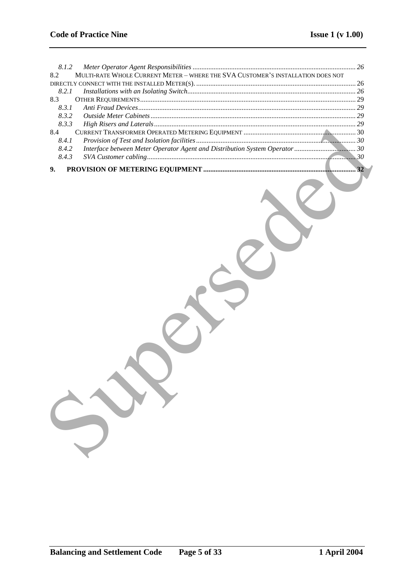| 8.1.2                                                                                  |    |
|----------------------------------------------------------------------------------------|----|
| MULTI-RATE WHOLE CURRENT METER - WHERE THE SVA CUSTOMER'S INSTALLATION DOES NOT<br>8.2 |    |
|                                                                                        |    |
| 8.2.1                                                                                  |    |
| 8.3                                                                                    |    |
| 8.3.1                                                                                  |    |
| 8.3.2                                                                                  |    |
| 8.3.3                                                                                  |    |
| 8.4                                                                                    |    |
| 8.4.1                                                                                  |    |
| 8.4.2                                                                                  |    |
| 8.4.3                                                                                  |    |
|                                                                                        | 32 |
| 9.                                                                                     |    |
|                                                                                        |    |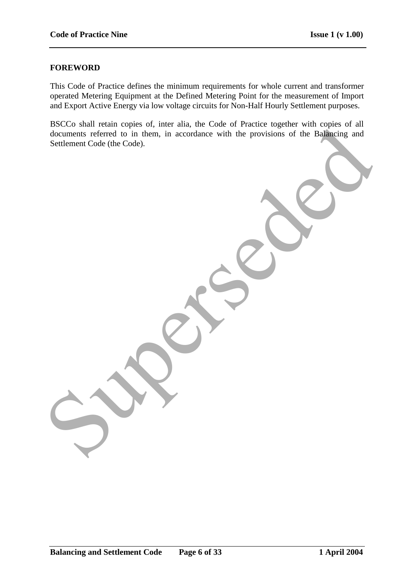### **FOREWORD**

This Code of Practice defines the minimum requirements for whole current and transformer operated Metering Equipment at the Defined Metering Point for the measurement of Import and Export Active Energy via low voltage circuits for Non-Half Hourly Settlement purposes.

BSCCo shall retain copies of, inter alia, the Code of Practice together with copies of all documents referred to in them, in accordance with the provisions of the Balancing and Settlement Code (the Code).

documents referred to in them, in accordance with the provisions of the Bankreine and<br>Seutement Code (the Code).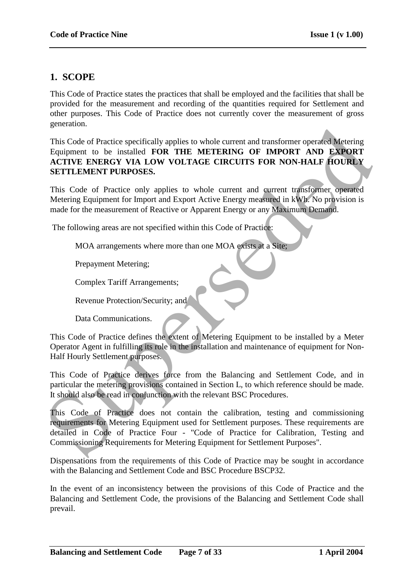# **1. SCOPE**

This Code of Practice states the practices that shall be employed and the facilities that shall be provided for the measurement and recording of the quantities required for Settlement and other purposes. This Code of Practice does not currently cover the measurement of gross generation.

This Code of Practice specifically applies to whole current and transformer operated Metering Equipment to be installed **FOR THE METERING OF IMPORT AND EXPORT ACTIVE ENERGY VIA LOW VOLTAGE CIRCUITS FOR NON-HALF HOURLY SETTLEMENT PURPOSES.** Survayers (Cole of Practice specifically applies to whole current and transformer operated Metering<br>
This Code of Practice Specifically applies to whole current and transformer operated Metering<br>
AcTIVE ENNERGY VIA LOW VOL

This Code of Practice only applies to whole current and current transformer operated Metering Equipment for Import and Export Active Energy measured in kWh. No provision is made for the measurement of Reactive or Apparent Energy or any Maximum Demand.

The following areas are not specified within this Code of Practice:

MOA arrangements where more than one MOA exists at a Site;

Prepayment Metering;

Complex Tariff Arrangements;

Revenue Protection/Security; and

Data Communications.

This Code of Practice defines the extent of Metering Equipment to be installed by a Meter Operator Agent in fulfilling its role in the installation and maintenance of equipment for Non-Half Hourly Settlement purposes.

This Code of Practice derives force from the Balancing and Settlement Code, and in particular the metering provisions contained in Section L, to which reference should be made. It should also be read in conjunction with the relevant BSC Procedures.

This Code of Practice does not contain the calibration, testing and commissioning requirements for Metering Equipment used for Settlement purposes. These requirements are detailed in Code of Practice Four - "Code of Practice for Calibration, Testing and Commissioning Requirements for Metering Equipment for Settlement Purposes".

Dispensations from the requirements of this Code of Practice may be sought in accordance with the Balancing and Settlement Code and BSC Procedure BSCP32.

In the event of an inconsistency between the provisions of this Code of Practice and the Balancing and Settlement Code, the provisions of the Balancing and Settlement Code shall prevail.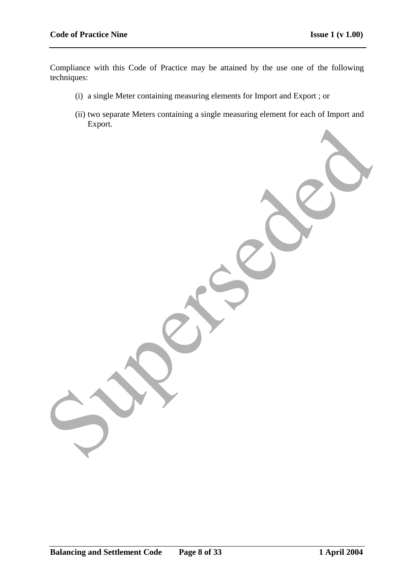Compliance with this Code of Practice may be attained by the use one of the following techniques:

- (i) a single Meter containing measuring elements for Import and Export ; or
- (ii) two separate Meters containing a single measuring element for each of Import and Export. Superseded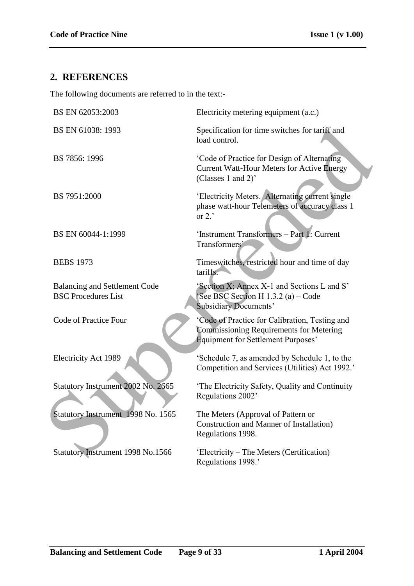# **2. REFERENCES**

The following documents are referred to in the text:-

| BS EN 62053:2003                                                   | Electricity metering equipment (a.c.)                                                                                                         |
|--------------------------------------------------------------------|-----------------------------------------------------------------------------------------------------------------------------------------------|
| BS EN 61038: 1993                                                  | Specification for time switches for tariff and<br>load control.                                                                               |
| BS 7856: 1996                                                      | 'Code of Practice for Design of Alternating<br><b>Current Watt-Hour Meters for Active Energy</b><br>(Classes 1 and 2)'                        |
| BS 7951:2000                                                       | 'Electricity Meters. Alternating current single<br>phase watt-hour Telemeters of accuracy class 1<br>or $2.7$                                 |
| BS EN 60044-1:1999                                                 | 'Instrument Transformers - Part 1: Current<br>Transformers'                                                                                   |
| <b>BEBS 1973</b>                                                   | Timeswitches, restricted hour and time of day<br>tariffs.                                                                                     |
| <b>Balancing and Settlement Code</b><br><b>BSC Procedures List</b> | 'Section X; Annex X-1 and Sections L and S'<br>See BSC Section H 1.3.2 (a) – Code<br><b>Subsidiary Documents'</b>                             |
| Code of Practice Four                                              | 'Code of Practice for Calibration, Testing and<br><b>Commissioning Requirements for Metering</b><br><b>Equipment for Settlement Purposes'</b> |
| <b>Electricity Act 1989</b>                                        | 'Schedule 7, as amended by Schedule 1, to the<br>Competition and Services (Utilities) Act 1992.'                                              |
| Statutory Instrument 2002 No. 2665                                 | 'The Electricity Safety, Quality and Continuity<br>Regulations 2002'                                                                          |
| Statutory Instrument 1998 No. 1565                                 | The Meters (Approval of Pattern or<br><b>Construction and Manner of Installation</b> )<br>Regulations 1998.                                   |
| Statutory Instrument 1998 No.1566                                  | 'Electricity – The Meters (Certification)<br>Regulations 1998.'                                                                               |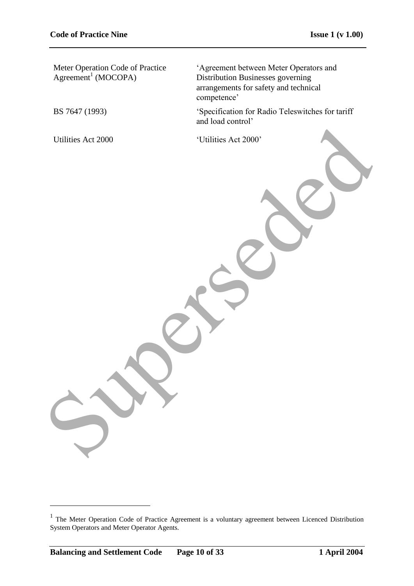Meter Operation Code of Practice  $Agreement<sup>1</sup> (MOCOPA)$ 

"Agreement between Meter Operators and Distribution Businesses governing arrangements for safety and technical competence'

BS 7647 (1993) "Specification for Radio Teleswitches for tariff and load control"

Utilities Act 2000 <br>
'Utilities Act 2000' Unificies Act 2000

1

<sup>&</sup>lt;sup>1</sup> The Meter Operation Code of Practice Agreement is a voluntary agreement between Licenced Distribution System Operators and Meter Operator Agents.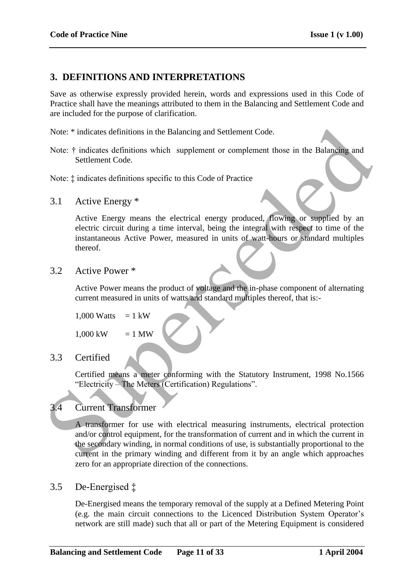# **3. DEFINITIONS AND INTERPRETATIONS**

Save as otherwise expressly provided herein, words and expressions used in this Code of Practice shall have the meanings attributed to them in the Balancing and Settlement Code and are included for the purpose of clarification.

Note: \* indicates definitions in the Balancing and Settlement Code.

Note:  $\dagger$  indicates definitions which supplement or complement those in the Balancing and Settlement Code.

Note: ‡ indicates definitions specific to this Code of Practice

3.1 Active Energy \*

Active Energy means the electrical energy produced, flowing or supplied by an electric circuit during a time interval, being the integral with respect to time of the instantaneous Active Power, measured in units of watt-hours or standard multiples thereof.

3.2 Active Power \*

Active Power means the product of voltage and the in-phase component of alternating current measured in units of watts and standard multiples thereof, that is:-

```
1,000 Watts = 1 kW
```
 $1,000 \text{ kW} = 1 \text{ MW}$ 

# 3.3 Certified

Certified means a meter conforming with the Statutory Instrument, 1998 No.1566 "Electricity – The Meters (Certification) Regulations".

# 3.4 Current Transformer

A transformer for use with electrical measuring instruments, electrical protection and/or control equipment, for the transformation of current and in which the current in the secondary winding, in normal conditions of use, is substantially proportional to the current in the primary winding and different from it by an angle which approaches zero for an appropriate direction of the connections. Note: \* indicates definitions in the Balancing and Settlement Code.<br>
Note: \* indicates definitions which supplement or complement those in the Balancing and<br>
Settlement Code.<br>
Note: \* indicates definitions specific to thi

## 3.5 De-Energised ‡

De-Energised means the temporary removal of the supply at a Defined Metering Point (e.g. the main circuit connections to the Licenced Distribution System Operator"s network are still made) such that all or part of the Metering Equipment is considered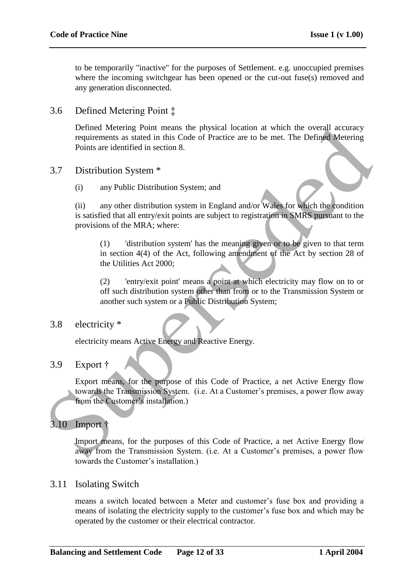to be temporarily "inactive" for the purposes of Settlement. e.g. unoccupied premises where the incoming switchgear has been opened or the cut-out fuse(s) removed and any generation disconnected.

3.6 Defined Metering Point ‡

Defined Metering Point means the physical location at which the overall accuracy requirements as stated in this Code of Practice are to be met. The Defined Metering Points are identified in section 8.

- 3.7 Distribution System \*
	- (i) any Public Distribution System; and

(ii) any other distribution system in England and/or Wales for which the condition is satisfied that all entry/exit points are subject to registration in SMRS pursuant to the provisions of the MRA; where: Defined Metering Point means the physical location at which the overall accuracy<br>requirements as stated in this Code of Practice are to be met. The Defined Metering<br>Points are identified in section 8.<br>3.7 Distribution Sys

(1) 'distribution system' has the meaning given or to be given to that term in section 4(4) of the Act, following amendment of the Act by section 28 of the Utilities Act 2000;

(2) 'entry/exit point' means a point at which electricity may flow on to or off such distribution system other than from or to the Transmission System or another such system or a Public Distribution System;

### 3.8 electricity \*

electricity means Active Energy and Reactive Energy.

## 3.9 Export †

Export means, for the purpose of this Code of Practice, a net Active Energy flow towards the Transmission System. (i.e. At a Customer"s premises, a power flow away from the Customer's installation.)

# 3.10 Import †

Import means, for the purposes of this Code of Practice, a net Active Energy flow away from the Transmission System. (i.e. At a Customer's premises, a power flow towards the Customer"s installation.)

### 3.11 Isolating Switch

means a switch located between a Meter and customer"s fuse box and providing a means of isolating the electricity supply to the customer"s fuse box and which may be operated by the customer or their electrical contractor.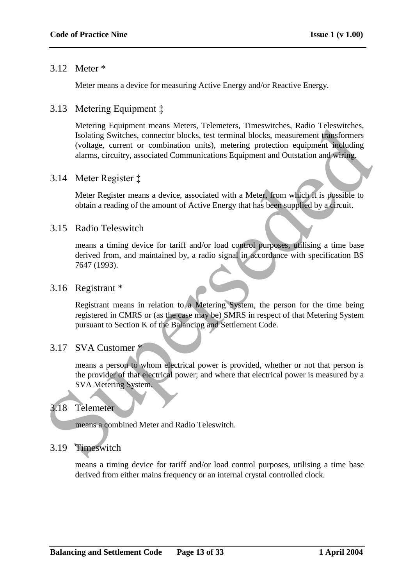## 3.12 Meter \*

Meter means a device for measuring Active Energy and/or Reactive Energy.

# 3.13 Metering Equipment ‡

Metering Equipment means Meters, Telemeters, Timeswitches, Radio Teleswitches, Isolating Switches, connector blocks, test terminal blocks, measurement transformers (voltage, current or combination units), metering protection equipment including alarms, circuitry, associated Communications Equipment and Outstation and wiring. Netting Equipment means versets, relements and the statement productions (and the systems of the statement relationers (voltage, current or combination units), metering protection equipment mathologies (voltage, current or

## 3.14 Meter Register ‡

Meter Register means a device, associated with a Meter, from which it is possible to obtain a reading of the amount of Active Energy that has been supplied by a circuit.

## 3.15 Radio Teleswitch

means a timing device for tariff and/or load control purposes, utilising a time base derived from, and maintained by, a radio signal in accordance with specification BS 7647 (1993).

### 3.16 Registrant \*

Registrant means in relation to a Metering System, the person for the time being registered in CMRS or (as the case may be) SMRS in respect of that Metering System pursuant to Section K of the Balancing and Settlement Code.

## 3.17 SVA Customer \*

means a person to whom electrical power is provided, whether or not that person is the provider of that electrical power; and where that electrical power is measured by a SVA Metering System.

## 3.18 Telemeter

means a combined Meter and Radio Teleswitch.

## 3.19 Timeswitch

means a timing device for tariff and/or load control purposes, utilising a time base derived from either mains frequency or an internal crystal controlled clock.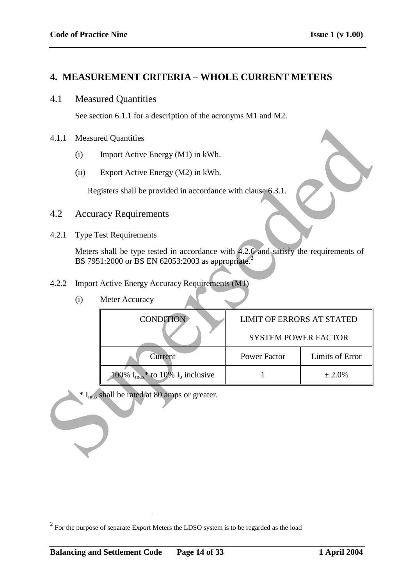## **4. MEASUREMENT CRITERIA – WHOLE CURRENT METERS**

### 4.1 Measured Quantities

See section 6.1.1 for a description of the acronyms M1 and M2.

#### 4.1.1 Measured Quantities

- (i) Import Active Energy (M1) in kWh.
- (ii) Export Active Energy (M2) in kWh.

- 4.2 Accuracy Requirements
- 4.2.1 Type Test Requirements

| (i) | Meter Accuracy |
|-----|----------------|
|     |                |

| 4.1.1 |      | <b>Measured Quantities</b>                                                                                                                            |                                  |                 |  |
|-------|------|-------------------------------------------------------------------------------------------------------------------------------------------------------|----------------------------------|-----------------|--|
|       | (i)  | Import Active Energy (M1) in kWh.                                                                                                                     |                                  |                 |  |
|       | (ii) | Export Active Energy (M2) in kWh.                                                                                                                     |                                  |                 |  |
|       |      | Registers shall be provided in accordance with clause 6.3.1.                                                                                          |                                  |                 |  |
| 4.2   |      | <b>Accuracy Requirements</b>                                                                                                                          |                                  |                 |  |
| 4.2.1 |      | <b>Type Test Requirements</b>                                                                                                                         |                                  |                 |  |
|       |      | Meters shall be type tested in accordance with 4.2.6 and satisfy the requirements of<br>BS 7951:2000 or BS EN 62053:2003 as appropriate. <sup>2</sup> |                                  |                 |  |
| 4.2.2 |      | <b>Import Active Energy Accuracy Requirements (M1)</b>                                                                                                |                                  |                 |  |
|       | (i)  | Meter Accuracy                                                                                                                                        |                                  |                 |  |
|       |      | <b>CONDITION</b>                                                                                                                                      | <b>LIMIT OF ERRORS AT STATED</b> |                 |  |
|       |      |                                                                                                                                                       | <b>SYSTEM POWER FACTOR</b>       |                 |  |
|       |      | Current                                                                                                                                               | <b>Power Factor</b>              | Limits of Error |  |
|       |      | 100% $I_{\text{max}}$ <sup>*</sup> to 10% $I_b$ inclusive                                                                                             | $\mathbf{1}$                     | ± 2.0%          |  |
|       |      | * I <sub>max</sub> shall be rated at 80 amps or greater.                                                                                              |                                  |                 |  |

 $2^{2}$  For the purpose of separate Export Meters the LDSO system is to be regarded as the load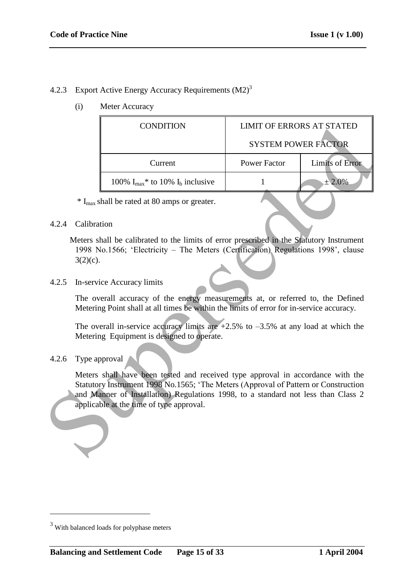# 4.2.3 Export Active Energy Accuracy Requirements (M2)<sup>3</sup>

(i) Meter Accuracy

|                                                                                                                                                                                                                                                                                                         | <b>CONDITION</b>                                                                                                                                                              | <b>LIMIT OF ERRORS AT STATED</b> |                 |  |
|---------------------------------------------------------------------------------------------------------------------------------------------------------------------------------------------------------------------------------------------------------------------------------------------------------|-------------------------------------------------------------------------------------------------------------------------------------------------------------------------------|----------------------------------|-----------------|--|
|                                                                                                                                                                                                                                                                                                         |                                                                                                                                                                               | <b>SYSTEM POWER FACTOR</b>       |                 |  |
|                                                                                                                                                                                                                                                                                                         | Current                                                                                                                                                                       | <b>Power Factor</b>              | Limits of Error |  |
|                                                                                                                                                                                                                                                                                                         | 100% $I_{max}$ * to 10% $I_b$ inclusive                                                                                                                                       | $\mathbf{1}$                     | ± 2.0%          |  |
|                                                                                                                                                                                                                                                                                                         | $*$ I <sub>max</sub> shall be rated at 80 amps or greater.                                                                                                                    |                                  |                 |  |
| Calibration<br>4.2.4                                                                                                                                                                                                                                                                                    |                                                                                                                                                                               |                                  |                 |  |
| $3(2)(c)$ .                                                                                                                                                                                                                                                                                             | Meters shall be calibrated to the limits of error prescribed in the Statutory Instrument<br>1998 No.1566; 'Electricity - The Meters (Certification) Regulations 1998', clause |                                  |                 |  |
| 4.2.5                                                                                                                                                                                                                                                                                                   | In-service Accuracy limits                                                                                                                                                    |                                  |                 |  |
|                                                                                                                                                                                                                                                                                                         | The overall accuracy of the energy measurements at, or referred to, the Defined<br>Metering Point shall at all times be within the limits of error for in-service accuracy.   |                                  |                 |  |
|                                                                                                                                                                                                                                                                                                         | The overall in-service accuracy limits are $+2.5\%$ to $-3.5\%$ at any load at which the<br>Metering Equipment is designed to operate.                                        |                                  |                 |  |
| 4.2.6                                                                                                                                                                                                                                                                                                   | Type approval                                                                                                                                                                 |                                  |                 |  |
| Meters shall have been tested and received type approval in accordance with the<br>Statutory Instrument 1998 No.1565; 'The Meters (Approval of Pattern or Construction<br>and Manner of Installation) Regulations 1998, to a standard not less than Class 2<br>applicable at the time of type approval. |                                                                                                                                                                               |                                  |                 |  |
|                                                                                                                                                                                                                                                                                                         |                                                                                                                                                                               |                                  |                 |  |

### 4.2.6 Type approval

<sup>&</sup>lt;sup>3</sup> With balanced loads for polyphase meters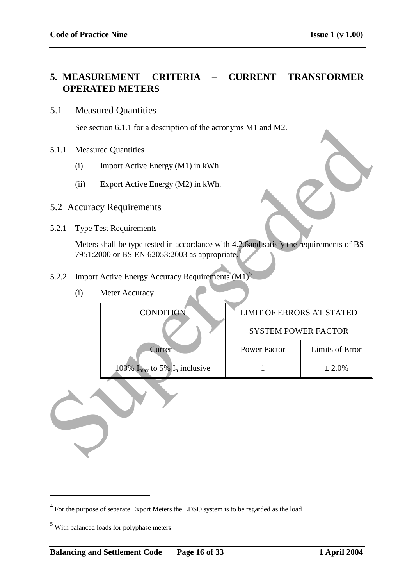# **5. MEASUREMENT CRITERIA – CURRENT TRANSFORMER OPERATED METERS**

## 5.1 Measured Quantities

See section 6.1.1 for a description of the acronyms M1 and M2.

- 5.1.1 Measured Quantities
	- (i) Import Active Energy (M1) in kWh.
	- (ii) Export Active Energy (M2) in kWh.
- 5.2 Accuracy Requirements
- 5.2.1 Type Test Requirements

- 5.2.2 Import Active Energy Accuracy Requirements (M1)<sup>5</sup>
	- (i) Meter Accuracy

|       |                                           | See section 6.1.1 for a description of the acronyms M1 and M2.                                                                                       |                                  |                        |  |
|-------|-------------------------------------------|------------------------------------------------------------------------------------------------------------------------------------------------------|----------------------------------|------------------------|--|
| 5.1.1 |                                           | <b>Measured Quantities</b>                                                                                                                           |                                  |                        |  |
|       | (i)                                       | Import Active Energy (M1) in kWh.                                                                                                                    |                                  |                        |  |
|       | Export Active Energy (M2) in kWh.<br>(ii) |                                                                                                                                                      |                                  |                        |  |
|       |                                           | 5.2 Accuracy Requirements                                                                                                                            |                                  |                        |  |
| 5.2.1 |                                           | <b>Type Test Requirements</b>                                                                                                                        |                                  |                        |  |
|       |                                           | Meters shall be type tested in accordance with 4.2.6and satisfy the requirements of BS<br>7951:2000 or BS EN 62053:2003 as appropriate. <sup>4</sup> |                                  |                        |  |
| 5.2.2 |                                           | Import Active Energy Accuracy Requirements (M1) <sup>5</sup>                                                                                         |                                  |                        |  |
|       | (i)                                       | Meter Accuracy                                                                                                                                       |                                  |                        |  |
|       |                                           | <b>CONDITION</b>                                                                                                                                     | <b>LIMIT OF ERRORS AT STATED</b> |                        |  |
|       |                                           |                                                                                                                                                      | <b>SYSTEM POWER FACTOR</b>       |                        |  |
|       |                                           | Current                                                                                                                                              | <b>Power Factor</b>              | <b>Limits of Error</b> |  |
|       |                                           | 100% $I_{\text{max}}$ to 5% $I_n$ inclusive                                                                                                          | $\mathbf{1}$                     | ± 2.0%                 |  |
|       |                                           |                                                                                                                                                      |                                  |                        |  |

 $4$  For the purpose of separate Export Meters the LDSO system is to be regarded as the load

<sup>&</sup>lt;sup>5</sup> With balanced loads for polyphase meters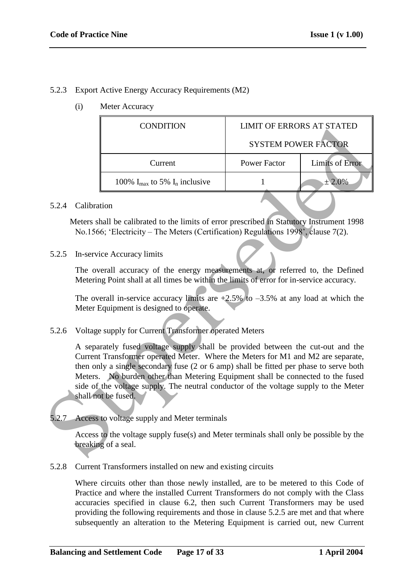### 5.2.3 Export Active Energy Accuracy Requirements (M2)

(i) Meter Accuracy

|                                                                                                                                                                                                                                                                                                                                                                                                                                                                 | <b>CONDITION</b>                                                                                                                                                                | <b>LIMIT OF ERRORS AT STATED</b> |                        |  |
|-----------------------------------------------------------------------------------------------------------------------------------------------------------------------------------------------------------------------------------------------------------------------------------------------------------------------------------------------------------------------------------------------------------------------------------------------------------------|---------------------------------------------------------------------------------------------------------------------------------------------------------------------------------|----------------------------------|------------------------|--|
|                                                                                                                                                                                                                                                                                                                                                                                                                                                                 |                                                                                                                                                                                 | <b>SYSTEM POWER FACTOR</b>       |                        |  |
|                                                                                                                                                                                                                                                                                                                                                                                                                                                                 | Current                                                                                                                                                                         | <b>Power Factor</b>              | <b>Limits of Error</b> |  |
|                                                                                                                                                                                                                                                                                                                                                                                                                                                                 | 100% $I_{\text{max}}$ to 5% $I_{\text{n}}$ inclusive                                                                                                                            | 1                                | ± 2.0%                 |  |
| 5.2.4                                                                                                                                                                                                                                                                                                                                                                                                                                                           | Calibration                                                                                                                                                                     |                                  |                        |  |
|                                                                                                                                                                                                                                                                                                                                                                                                                                                                 | Meters shall be calibrated to the limits of error prescribed in Statutory Instrument 1998<br>No.1566; 'Electricity – The Meters (Certification) Regulations 1998', clause 7(2). |                                  |                        |  |
| 5.2.5                                                                                                                                                                                                                                                                                                                                                                                                                                                           | In-service Accuracy limits                                                                                                                                                      |                                  |                        |  |
|                                                                                                                                                                                                                                                                                                                                                                                                                                                                 | The overall accuracy of the energy measurements at, or referred to, the Defined<br>Metering Point shall at all times be within the limits of error for in-service accuracy.     |                                  |                        |  |
|                                                                                                                                                                                                                                                                                                                                                                                                                                                                 | The overall in-service accuracy limits are $+2.5\%$ to $-3.5\%$ at any load at which the<br>Meter Equipment is designed to operate.                                             |                                  |                        |  |
| 5.2.6                                                                                                                                                                                                                                                                                                                                                                                                                                                           | Voltage supply for Current Transformer operated Meters                                                                                                                          |                                  |                        |  |
| A separately fused voltage supply shall be provided between the cut-out and the<br>Current Transformer operated Meter. Where the Meters for M1 and M2 are separate,<br>then only a single secondary fuse (2 or 6 amp) shall be fitted per phase to serve both<br>Meters. No burden other than Metering Equipment shall be connected to the fused<br>side of the voltage supply. The neutral conductor of the voltage supply to the Meter<br>shall not be fused. |                                                                                                                                                                                 |                                  |                        |  |
| 5.2.7                                                                                                                                                                                                                                                                                                                                                                                                                                                           | Access to voltage supply and Meter terminals                                                                                                                                    |                                  |                        |  |
|                                                                                                                                                                                                                                                                                                                                                                                                                                                                 | Access to the voltage supply fuse(s) and Meter terminals shall only be possible by the<br>breaking of a seal.                                                                   |                                  |                        |  |

#### 5.2.4 Calibration

5.2.8 Current Transformers installed on new and existing circuits

Where circuits other than those newly installed, are to be metered to this Code of Practice and where the installed Current Transformers do not comply with the Class accuracies specified in clause 6.2, then such Current Transformers may be used providing the following requirements and those in clause 5.2.5 are met and that where subsequently an alteration to the Metering Equipment is carried out, new Current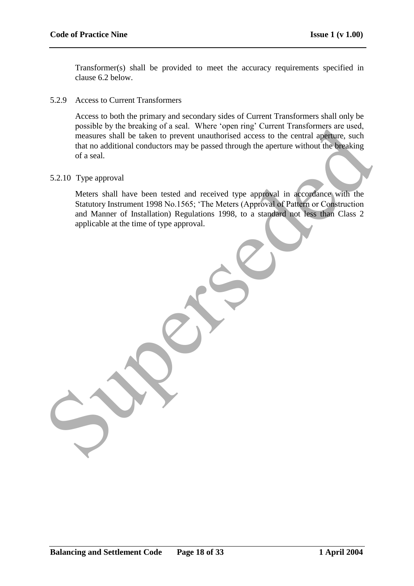Transformer(s) shall be provided to meet the accuracy requirements specified in clause 6.2 below.

#### 5.2.9 Access to Current Transformers

Access to both the primary and secondary sides of Current Transformers shall only be possible by the breaking of a seal. Where "open ring" Current Transformers are used, measures shall be taken to prevent unauthorised access to the central aperture, such that no additional conductors may be passed through the aperture without the breaking of a seal.

#### 5.2.10 Type approval

Meters shall have been tested and received type approval in accordance with the Statutory Instrument 1998 No.1565; "The Meters (Approval of Pattern or Construction and Manner of Installation) Regulations 1998, to a standard not less than Class 2 applicable at the time of type approval. possible by the breaking of a seal. Were "open ring Current transformes are used,<br>measures hall be taken to prevent transformed access to the central appener, such<br>that no additional conductors may be passed through the ap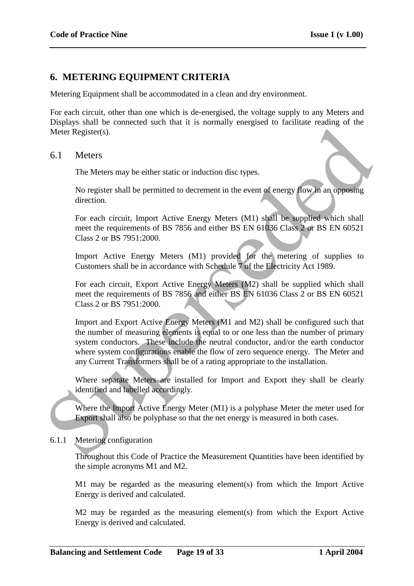# **6. METERING EQUIPMENT CRITERIA**

Metering Equipment shall be accommodated in a clean and dry environment.

For each circuit, other than one which is de-energised, the voltage supply to any Meters and Displays shall be connected such that it is normally energised to facilitate reading of the Meter Register(s).

#### 6.1 Meters

The Meters may be either static or induction disc types.

No register shall be permitted to decrement in the event of energy flow in an opposing direction.

For each circuit, Import Active Energy Meters (M1) shall be supplied which shall meet the requirements of BS 7856 and either BS EN 61036 Class 2 or BS EN 60521 Class 2 or BS 7951:2000.

Import Active Energy Meters (M1) provided for the metering of supplies to Customers shall be in accordance with Schedule 7 of the Electricity Act 1989.

For each circuit, Export Active Energy Meters (M2) shall be supplied which shall meet the requirements of BS 7856 and either BS EN 61036 Class 2 or BS EN 60521 Class 2 or BS 7951:2000.

Import and Export Active Energy Meters (M1 and M2) shall be configured such that the number of measuring elements is equal to or one less than the number of primary system conductors. These include the neutral conductor, and/or the earth conductor where system configurations enable the flow of zero sequence energy. The Meter and any Current Transformers shall be of a rating appropriate to the installation. Meter Register(s).<br>
6.1 Meters<br>
The Meters may be either static or induction disc types.<br>
No register shall be permitted to decrement in the event of energy flow in an opposing<br>
direction.<br>
For each circuit, Import Active

Where separate Meters are installed for Import and Export they shall be clearly identified and labelled accordingly.

Where the Import Active Energy Meter (M1) is a polyphase Meter the meter used for Export shall also be polyphase so that the net energy is measured in both cases.

### 6.1.1 Metering configuration

Throughout this Code of Practice the Measurement Quantities have been identified by the simple acronyms M1 and M2.

M1 may be regarded as the measuring element(s) from which the Import Active Energy is derived and calculated.

M2 may be regarded as the measuring element(s) from which the Export Active Energy is derived and calculated.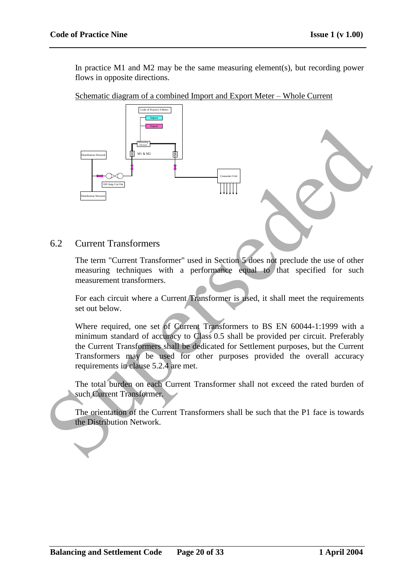In practice M1 and M2 may be the same measuring element(s), but recording power flows in opposite directions.

Schematic diagram of a combined Import and Export Meter – Whole Current



6.2 Current Transformers

The term "Current Transformer" used in Section 5 does not preclude the use of other measuring techniques with a performance equal to that specified for such measurement transformers.

For each circuit where a Current Transformer is used, it shall meet the requirements set out below.

Where required, one set of Current Transformers to BS EN 60044-1:1999 with a minimum standard of accuracy to Class 0.5 shall be provided per circuit. Preferably the Current Transformers shall be dedicated for Settlement purposes, but the Current Transformers may be used for other purposes provided the overall accuracy requirements in clause 5.2.4 are met.

The total burden on each Current Transformer shall not exceed the rated burden of such Current Transformer.

The orientation of the Current Transformers shall be such that the P1 face is towards the Distribution Network.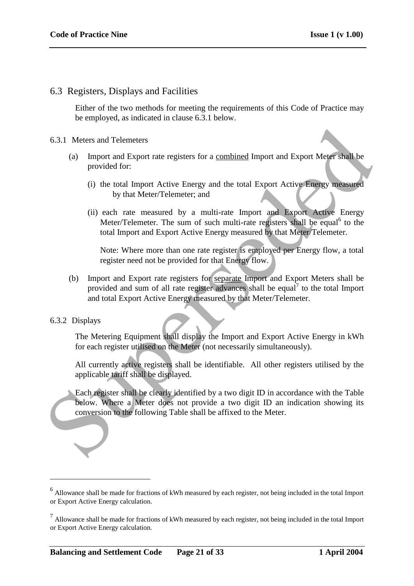## 6.3 Registers, Displays and Facilities

Either of the two methods for meeting the requirements of this Code of Practice may be employed, as indicated in clause 6.3.1 below.

#### 6.3.1 Meters and Telemeters

- (a) Import and Export rate registers for a combined Import and Export Meter shall be provided for:
	- (i) the total Import Active Energy and the total Export Active Energy measured by that Meter/Telemeter; and
	- (ii) each rate measured by a multi-rate Import and Export Active Energy Meter/Telemeter. The sum of such multi-rate registers shall be equal<sup>6</sup> to the total Import and Export Active Energy measured by that Meter/Telemeter.

Note: Where more than one rate register is employed per Energy flow, a total register need not be provided for that Energy flow.

(b) Import and Export rate registers for separate Import and Export Meters shall be provided and sum of all rate register advances shall be equal<sup>7</sup> to the total Import and total Export Active Energy measured by that Meter/Telemeter. 6.3.1 Meters and Telemeters<br>
(a) Import and Export rate registers for a <u>combined</u> Import and Export Meter shall be<br>
provided for:<br>
(i) the total Import Active Energy and the total Export Active Energy measured<br>
(ii) and M

#### 6.3.2 Displays

1

The Metering Equipment shall display the Import and Export Active Energy in kWh for each register utilised on the Meter (not necessarily simultaneously).

All currently active registers shall be identifiable. All other registers utilised by the applicable tariff shall be displayed.

Each register shall be clearly identified by a two digit ID in accordance with the Table below. Where a Meter does not provide a two digit ID an indication showing its conversion to the following Table shall be affixed to the Meter.

<sup>&</sup>lt;sup>6</sup> Allowance shall be made for fractions of kWh measured by each register, not being included in the total Import or Export Active Energy calculation.

 $<sup>7</sup>$  Allowance shall be made for fractions of kWh measured by each register, not being included in the total Import</sup> or Export Active Energy calculation.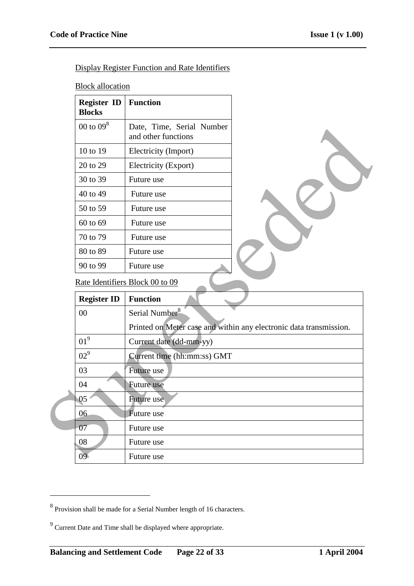Display Register Function and Rate Identifiers

**Block allocation** 

| <b>Register ID</b><br><b>Blocks</b> | <b>Function</b>                                  |
|-------------------------------------|--------------------------------------------------|
| 00 to $098$                         | Date, Time, Serial Number<br>and other functions |
| 10 to 19                            | Electricity (Import)                             |
| 20 to 29                            | Electricity (Export)                             |
| 30 to 39                            | Future use                                       |
| 40 to 49                            | Future use                                       |
| 50 to 59                            | Future use                                       |
| 60 to 69                            | Future use                                       |
| 70 to 79                            | Future use                                       |
| 80 to 89                            | Future use                                       |
| 90 to 99                            | Future use                                       |

| $00$ to $09^{\circ}$ | Date, Time, Serial Number<br>and other functions |                                                                    |
|----------------------|--------------------------------------------------|--------------------------------------------------------------------|
| 10 to 19             | Electricity (Import)                             |                                                                    |
| 20 to 29             | Electricity (Export)                             |                                                                    |
| 30 to 39             | Future use                                       |                                                                    |
| 40 to 49             | Future use                                       |                                                                    |
| 50 to 59             | Future use                                       |                                                                    |
| 60 to 69             | Future use                                       |                                                                    |
| 70 to 79             | Future use                                       |                                                                    |
| 80 to 89             | Future use                                       |                                                                    |
| 90 to 99             | Future use                                       |                                                                    |
|                      | Rate Identifiers Block 00 to 09                  |                                                                    |
|                      |                                                  |                                                                    |
| <b>Register ID</b>   | <b>Function</b>                                  |                                                                    |
| 00                   | Serial Number <sup>8</sup>                       |                                                                    |
|                      |                                                  | Printed on Meter case and within any electronic data transmission. |
| 01 <sup>9</sup>      | Current date (dd-mm-yy)                          |                                                                    |
| 02 <sup>9</sup>      | Current time (hh:mm:ss) GMT                      |                                                                    |
| 03                   | Future use                                       |                                                                    |
| 04                   | Future use                                       |                                                                    |
| 05                   | Future use                                       |                                                                    |
| 06                   | Future use                                       |                                                                    |
| 07                   | Future use                                       |                                                                    |
| 08                   | Future use                                       |                                                                    |

<sup>&</sup>lt;sup>8</sup> Provision shall be made for a Serial Number length of 16 characters.

 $9^9$  Current Date and Time shall be displayed where appropriate.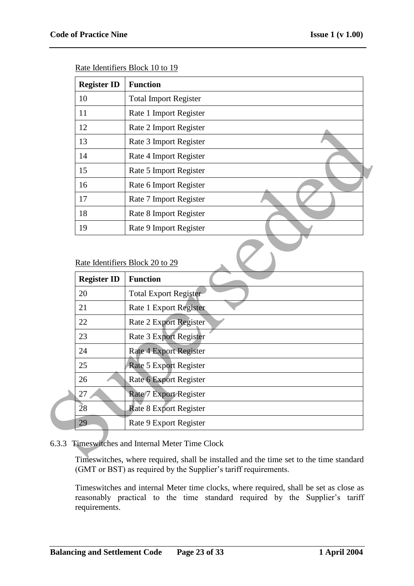| <b>Register ID</b> | <b>Function</b>              |  |
|--------------------|------------------------------|--|
| 10                 | <b>Total Import Register</b> |  |
| 11                 | Rate 1 Import Register       |  |
| 12                 | Rate 2 Import Register       |  |
| 13                 | Rate 3 Import Register       |  |
| 14                 | Rate 4 Import Register       |  |
| 15                 | Rate 5 Import Register       |  |
| 16                 | Rate 6 Import Register       |  |
| 17                 | Rate 7 Import Register       |  |
| 18                 | Rate 8 Import Register       |  |
| 19                 | Rate 9 Import Register       |  |

Rate Identifiers Block 10 to 19

#### Rate Identifiers Block 20 to 29

| 12                 | Rate 2 Import Register          |
|--------------------|---------------------------------|
| 13                 | Rate 3 Import Register          |
| 14                 | Rate 4 Import Register          |
| 15                 | Rate 5 Import Register          |
| 16                 | Rate 6 Import Register          |
| 17                 | Rate 7 Import Register          |
| 18                 | Rate 8 Import Register          |
| 19                 | Rate 9 Import Register          |
|                    | Rate Identifiers Block 20 to 29 |
|                    |                                 |
| <b>Register ID</b> | <b>Function</b>                 |
| 20                 | <b>Total Export Register</b>    |
| 21                 | Rate 1 Export Register          |
| 22                 | <b>Rate 2 Export Register</b>   |
| 23                 | Rate 3 Export Register          |
| 24                 | Rate 4 Export Register          |
| 25                 | Rate 5 Export Register          |
| 26                 | Rate 6 Export Register          |
| 27                 | Rate/7 Export Register          |
| 28                 | <b>Rate 8 Export Register</b>   |

### 6.3.3 Timeswitches and Internal Meter Time Clock

Timeswitches, where required, shall be installed and the time set to the time standard (GMT or BST) as required by the Supplier's tariff requirements.

Timeswitches and internal Meter time clocks, where required, shall be set as close as reasonably practical to the time standard required by the Supplier's tariff requirements.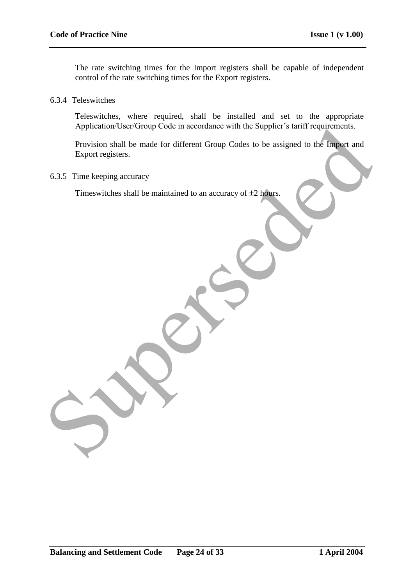The rate switching times for the Import registers shall be capable of independent control of the rate switching times for the Export registers.

6.3.4 Teleswitches

Teleswitches, where required, shall be installed and set to the appropriate Application/User/Group Code in accordance with the Supplier's tariff requirements.

Provision shall be made for different Group Codes to be assigned to the Import and Export registers. Application User/Group Code in accordance with the Supplier's tariff requirements.<br>
Provision stall be made for different Group Codes to be assigned to the Impart and<br>
Export registers.<br>
Timeswitches shall be maintained to

6.3.5 Time keeping accuracy

Timeswitches shall be maintained to an accuracy of  $\pm 2$  hours.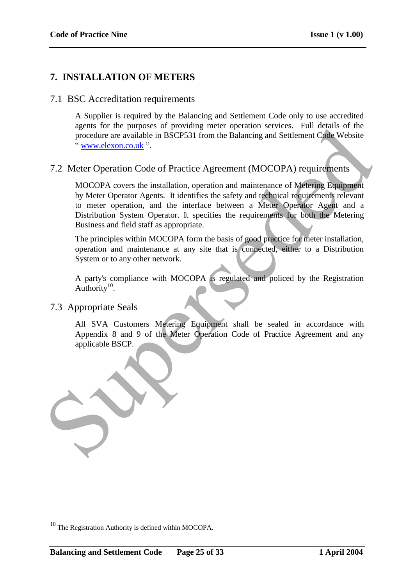# **7. INSTALLATION OF METERS**

## 7.1 BSC Accreditation requirements

A Supplier is required by the Balancing and Settlement Code only to use accredited agents for the purposes of providing meter operation services. Full details of the procedure are available in BSCP531 from the Balancing and Settlement Code Website " www.elexon.co.uk ".

## 7.2 Meter Operation Code of Practice Agreement (MOCOPA) requirements

MOCOPA covers the installation, operation and maintenance of Metering Equipment by Meter Operator Agents. It identifies the safety and technical requirements relevant to meter operation, and the interface between a Meter Operator Agent and a Distribution System Operator. It specifies the requirements for both the Metering Business and field staff as appropriate.

The principles within MOCOPA form the basis of good practice for meter installation, operation and maintenance at any site that is connected, either to a Distribution System or to any other network.

A party's compliance with MOCOPA is regulated and policed by the Registration Authority $10$ .

### 7.3 Appropriate Seals

<u>.</u>

All SVA Customers Metering Equipment shall be sealed in accordance with Appendix 8 and 9 of the Meter Operation Code of Practice Agreement and any applicable BSCP.



<sup>&</sup>lt;sup>10</sup> The Registration Authority is defined within MOCOPA.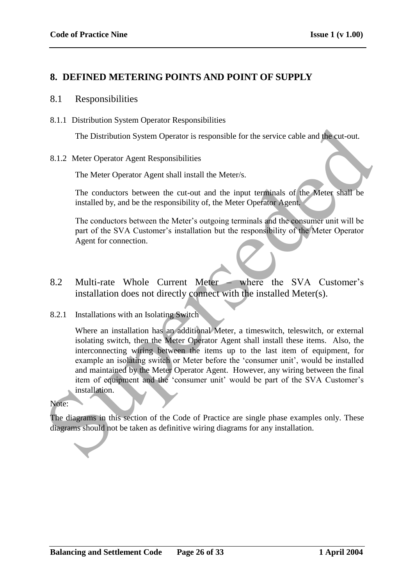# **8. DEFINED METERING POINTS AND POINT OF SUPPLY**

### 8.1 Responsibilities

8.1.1 Distribution System Operator Responsibilities

The Distribution System Operator is responsible for the service cable and the cut-out.

#### 8.1.2 Meter Operator Agent Responsibilities

The Meter Operator Agent shall install the Meter/s.

The conductors between the cut-out and the input terminals of the Meter shall be installed by, and be the responsibility of, the Meter Operator Agent.

The conductors between the Meter"s outgoing terminals and the consumer unit will be part of the SVA Customer"s installation but the responsibility of the Meter Operator Agent for connection.

8.2 Multi-rate Whole Current Meter – where the SVA Customer's installation does not directly connect with the installed Meter(s).

### 8.2.1 Installations with an Isolating Switch

Where an installation has an additional Meter, a timeswitch, teleswitch, or external isolating switch, then the Meter Operator Agent shall install these items. Also, the interconnecting wiring between the items up to the last item of equipment, for example an isolating switch or Meter before the 'consumer unit', would be installed and maintained by the Meter Operator Agent. However, any wiring between the final item of equipment and the 'consumer unit' would be part of the SVA Customer's installation. The Distribution System Operator is responsible for the service cable and the cut-out.<br>
S.1.2 Meter Operator Agent Responsibilities<br>
The Meter Operator Agent shall install the Meter's.<br>
The conductors between the cut-out a

#### Note:

The diagrams in this section of the Code of Practice are single phase examples only. These diagrams should not be taken as definitive wiring diagrams for any installation.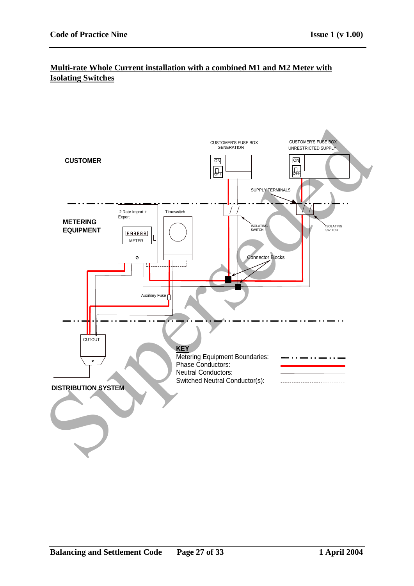## **Multi-rate Whole Current installation with a combined M1 and M2 Meter with Isolating Switches**

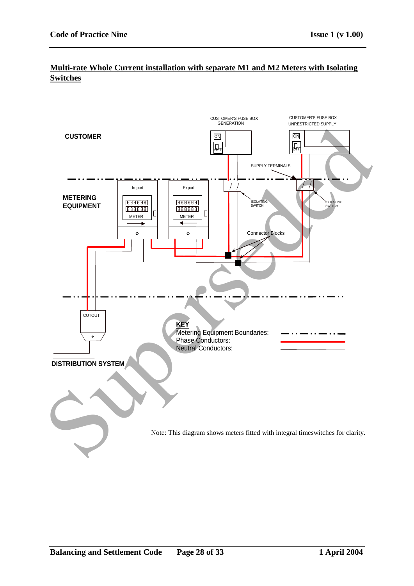# **Multi-rate Whole Current installation with separate M1 and M2 Meters with Isolating Switches**

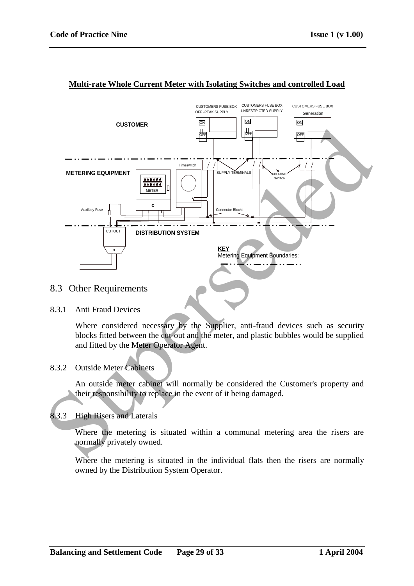

#### **Multi-rate Whole Current Meter with Isolating Switches and controlled Load**

## 8.3 Other Requirements

#### 8.3.1 Anti Fraud Devices

Where considered necessary by the Supplier, anti-fraud devices such as security blocks fitted between the cut-out and the meter, and plastic bubbles would be supplied and fitted by the Meter Operator Agent.

## 8.3.2 Outside Meter Cabinets

An outside meter cabinet will normally be considered the Customer's property and their responsibility to replace in the event of it being damaged.

### 8.3.3 High Risers and Laterals

Where the metering is situated within a communal metering area the risers are normally privately owned.

Where the metering is situated in the individual flats then the risers are normally owned by the Distribution System Operator.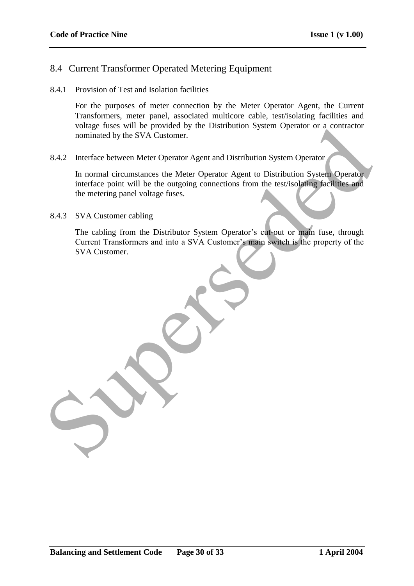# 8.4 Current Transformer Operated Metering Equipment

8.4.1 Provision of Test and Isolation facilities

For the purposes of meter connection by the Meter Operator Agent, the Current Transformers, meter panel, associated multicore cable, test/isolating facilities and voltage fuses will be provided by the Distribution System Operator or a contractor nominated by the SVA Customer.

8.4.2 Interface between Meter Operator Agent and Distribution System Operator

In normal circumstances the Meter Operator Agent to Distribution System Operator interface point will be the outgoing connections from the test/isolating facilities and the metering panel voltage fuses. Fourier and Source of the Distribution System Operator of a contractor<br>
nominated by the SVA Customer.<br>
8.4.2 Interface between Meter Operator Agent and Distribution System Operator<br>
In normal circumstances the Meter Opera

8.4.3 SVA Customer cabling

The cabling from the Distributor System Operator's cut-out or main fuse, through Current Transformers and into a SVA Customer's main switch is the property of the SVA Customer.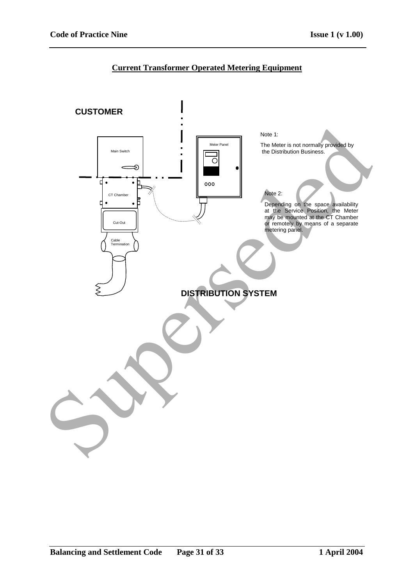# **Current Transformer Operated Metering Equipment**

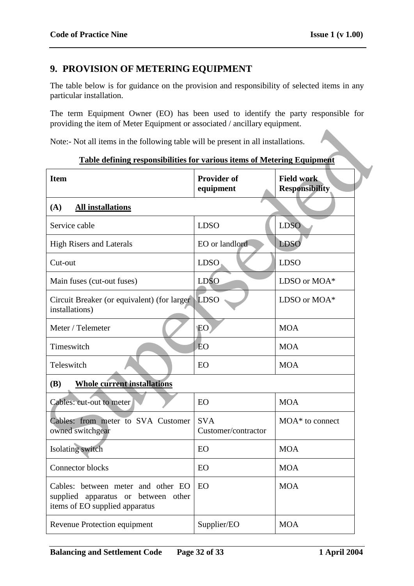# **9. PROVISION OF METERING EQUIPMENT**

The table below is for guidance on the provision and responsibility of selected items in any particular installation.

The term Equipment Owner (EO) has been used to identify the party responsible for providing the item of Meter Equipment or associated / ancillary equipment.

| providing the nem of include Equipment of associated / anemally equipment.                                  |                                   |                                            |  |  |  |
|-------------------------------------------------------------------------------------------------------------|-----------------------------------|--------------------------------------------|--|--|--|
| Note:- Not all items in the following table will be present in all installations.                           |                                   |                                            |  |  |  |
| <b>Table defining responsibilities for various items of Metering Equipment</b>                              |                                   |                                            |  |  |  |
| <b>Item</b>                                                                                                 | <b>Provider of</b><br>equipment   | <b>Field work</b><br><b>Responsibility</b> |  |  |  |
| (A)<br><b>All installations</b>                                                                             |                                   |                                            |  |  |  |
| Service cable                                                                                               | <b>LDSO</b>                       | <b>LDSO</b>                                |  |  |  |
| <b>High Risers and Laterals</b>                                                                             | EO or landlord                    | <b>LDSO</b>                                |  |  |  |
| Cut-out                                                                                                     | <b>LDSO</b>                       | <b>LDSO</b>                                |  |  |  |
| Main fuses (cut-out fuses)                                                                                  | <b>LDSO</b>                       | LDSO or MOA*                               |  |  |  |
| Circuit Breaker (or equivalent) (for larger)<br>installations)                                              | LDSO                              | LDSO or MOA*                               |  |  |  |
| Meter / Telemeter                                                                                           | EO <sup>1</sup>                   | <b>MOA</b>                                 |  |  |  |
| Timeswitch                                                                                                  | <b>EO</b>                         | <b>MOA</b>                                 |  |  |  |
| Teleswitch                                                                                                  | EO                                | <b>MOA</b>                                 |  |  |  |
| <b>Whole current installations</b><br><b>(B)</b>                                                            |                                   |                                            |  |  |  |
| Cables: cut-out to meter                                                                                    | EO                                | <b>MOA</b>                                 |  |  |  |
| Cables: from meter to SVA Customer<br>owned switchgear                                                      | <b>SVA</b><br>Customer/contractor | $MOA^*$ to connect                         |  |  |  |
| Isolating switch                                                                                            | EO                                | <b>MOA</b>                                 |  |  |  |
| Connector blocks                                                                                            | EO                                | <b>MOA</b>                                 |  |  |  |
| Cables: between meter and other EO<br>supplied apparatus or between other<br>items of EO supplied apparatus | EO                                | <b>MOA</b>                                 |  |  |  |
| Revenue Protection equipment                                                                                | Supplier/EO                       | <b>MOA</b>                                 |  |  |  |
|                                                                                                             |                                   |                                            |  |  |  |

#### **Table defining responsibilities for various items of Metering Equipment**